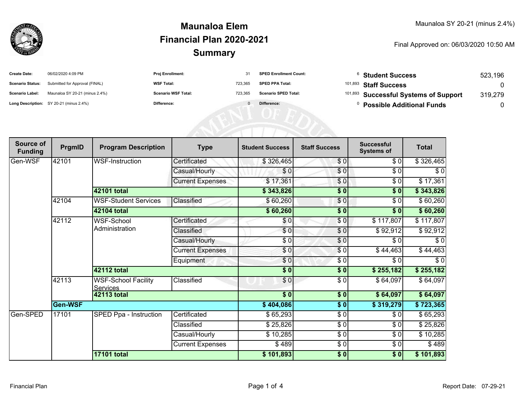

## **SummaryMaunaloa ElemFinancial Plan 2020-2021**

Final Approved on: 06/03/2020 10:50 AM

| <b>Create Date:</b>     | 06/02/2020 4:09 PM                      | <b>Proj Enrollment:</b>    |         | <b>SPED Enrollment Count:</b> | <b>Student Success</b>                           | 523.196 |
|-------------------------|-----------------------------------------|----------------------------|---------|-------------------------------|--------------------------------------------------|---------|
| <b>Scenario Status:</b> | Submitted for Approval (FINAL)          | <b>WSF Total:</b>          | 723.365 | <b>SPED PPA Total:</b>        | <sup>101,893</sup> Staff Success                 |         |
| <b>Scenario Label:</b>  | Maunaloa SY 20-21 (minus 2.4%)          | <b>Scenario WSF Total:</b> | 723.365 | <b>Scenario SPED Total:</b>   | <sup>101,893</sup> Successful Systems of Support | 319,279 |
|                         | Long Description: SY 20-21 (minus 2.4%) | Difference:                |         | Difference:                   | <b>Possible Additional Funds</b>                 |         |

ATENI OF EQU

| Source of<br><b>Funding</b> | PrgmID  | <b>Program Description</b>                    | <b>Type</b>             | <b>Student Success</b>  | <b>Staff Success</b> | <b>Successful</b><br><b>Systems of</b> | <b>Total</b> |          |
|-----------------------------|---------|-----------------------------------------------|-------------------------|-------------------------|----------------------|----------------------------------------|--------------|----------|
| Gen-WSF                     | 42101   | <b>WSF-Instruction</b>                        | Certificated            | \$326,465               | \$0                  | \$0                                    | \$326,465    |          |
|                             |         |                                               | Casual/Hourly           | \$0                     | \$0                  | \$0                                    | \$0          |          |
|                             |         |                                               | <b>Current Expenses</b> | \$17,361                | \$0                  | \$0                                    | \$17,361     |          |
|                             |         | <b>42101 total</b>                            |                         | \$343,826               | \$0                  | \$0                                    | \$343,826    |          |
|                             | 42104   | <b>WSF-Student Services</b>                   | Classified              | \$60,260                | \$0                  | \$0                                    | \$60,260     |          |
|                             |         | <b>42104 total</b>                            |                         | \$60,260                | \$0                  | \$0                                    | \$60,260     |          |
|                             | 42112   | WSF-School<br>Administration                  | Certificated            | \$0                     | \$0                  | \$117,807                              | \$117,807    |          |
|                             |         |                                               | Classified              | \$0                     | \$0                  | \$92,912                               | \$92,912     |          |
|                             |         |                                               | Casual/Hourly           | \$0                     | \$0                  | \$0                                    | \$0          |          |
|                             |         |                                               | <b>Current Expenses</b> | \$0                     | \$0                  | \$44,463                               | \$44,463     |          |
|                             |         |                                               | Equipment               | \$0                     | \$0                  | \$0                                    | \$0          |          |
|                             |         | <b>42112 total</b>                            |                         | \$0                     | \$0                  | \$255,182                              | \$255,182    |          |
|                             | 42113   | <b>WSF-School Facility</b><br><b>Services</b> | Classified              | $\frac{6}{3}$           | \$0                  | \$64,097                               | \$64,097     |          |
|                             |         | <b>42113 total</b>                            |                         | \$0                     | $\sqrt{50}$          | \$64,097                               | \$64,097     |          |
|                             | Gen-WSF |                                               |                         | \$404,086               | \$0                  | \$319,279                              | \$723,365    |          |
| Gen-SPED                    | 17101   | SPED Ppa - Instruction                        | Certificated            | \$65,293                | \$0                  | \$0                                    | \$65,293     |          |
|                             |         |                                               | Classified              | \$25,826                | \$0                  | \$0                                    | \$25,826     |          |
|                             |         |                                               |                         | Casual/Hourly           | \$10,285             | \$0                                    | \$0          | \$10,285 |
|                             |         |                                               |                         | <b>Current Expenses</b> | \$489                | \$0                                    | \$0          | \$489    |
|                             |         | <b>17101 total</b>                            |                         | \$101,893               | \$0                  | \$0                                    | \$101,893    |          |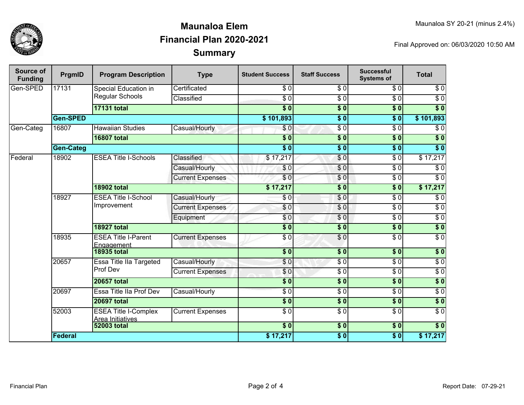

## **SummaryMaunaloa ElemFinancial Plan 2020-2021**

Final Approved on: 06/03/2020 10:50 AM

| Source of<br><b>Funding</b> | PrgmID           | <b>Program Description</b>                      | <b>Type</b>                    | <b>Student Success</b> | <b>Staff Success</b> | <b>Successful</b><br><b>Systems of</b> | <b>Total</b>     |                  |
|-----------------------------|------------------|-------------------------------------------------|--------------------------------|------------------------|----------------------|----------------------------------------|------------------|------------------|
| Gen-SPED                    | 17131            | Special Education in<br>Regular Schools         | Certificated                   | $\sqrt{6}$             | $\overline{30}$      | $\overline{\$0}$                       | $\sqrt{6}$       |                  |
|                             |                  |                                                 | Classified                     | $\overline{S}0$        | $\sqrt{6}$           | $\overline{\$0}$                       | $\overline{\$0}$ |                  |
|                             |                  | <b>17131 total</b>                              |                                | $\overline{\$0}$       | $\overline{\$0}$     | $\overline{\$0}$                       | $\overline{\$0}$ |                  |
|                             | Gen-SPED         |                                                 |                                | \$101,893              | $\overline{\$0}$     | $\overline{\$0}$                       | \$101,893        |                  |
| Gen-Categ                   | 16807            | <b>Hawaiian Studies</b>                         | Casual/Hourly                  | $\overline{\$0}$       | $\sqrt{6}$           | $\overline{\$0}$                       | $\overline{\$0}$ |                  |
|                             |                  | <b>16807 total</b>                              |                                | $\overline{\$0}$       | $\overline{\$0}$     | $\overline{\$0}$                       | $\overline{\$0}$ |                  |
|                             | <b>Gen-Categ</b> |                                                 |                                | $\overline{\$0}$       | $\overline{\$0}$     | $\overline{\$0}$                       | $\overline{\$0}$ |                  |
| Federal                     | 18902            | <b>ESEA Title I-Schools</b>                     | Classified                     | \$17,217               | \$0                  | $\overline{\$0}$                       | \$17,217         |                  |
|                             |                  |                                                 | Casual/Hourly                  | \$0                    | $\frac{6}{3}$        | $\sqrt{6}$                             | $\sqrt{6}$       |                  |
|                             |                  |                                                 | <b>Current Expenses</b>        | \$0                    | $\overline{\$0}$     | $\overline{\$0}$                       | $\sqrt{6}$       |                  |
|                             |                  | <b>18902 total</b>                              |                                | \$17,217               | $\overline{\$0}$     | $\overline{\$0}$                       | \$17,217         |                  |
|                             | 18927            | <b>ESEA Title I-School</b><br>Improvement       | Casual/Hourly                  | \$0                    | \$0                  | $\sqrt{6}$                             | $\sqrt{6}$       |                  |
|                             |                  |                                                 | <b>Current Expenses</b>        | \$0                    | \$0                  | $\overline{\$0}$                       | $\sqrt{6}$       |                  |
|                             |                  |                                                 | Equipment                      | \$0                    | \$0                  | $\overline{\$0}$                       | $\overline{\$0}$ |                  |
|                             |                  | <b>18927 total</b>                              |                                | $\overline{\$0}$       | $\sqrt{6}$           | $\overline{\$0}$                       | $\overline{\$0}$ |                  |
|                             | 18935            | <b>ESEA Title I-Parent</b><br>Engagement        | <b>Current Expenses</b>        | $\overline{30}$        | $\frac{6}{6}$        | $\sqrt{6}$                             | $\overline{\$0}$ |                  |
|                             |                  | <b>18935 total</b>                              |                                | $\overline{\$0}$       | \$0                  | $\overline{\$0}$                       | \$0              |                  |
|                             |                  | 20657                                           | <b>Essa Title IIa Targeted</b> | Casual/Hourly          | $\overline{\$0}$     | $\frac{6}{6}$                          | $\overline{\$0}$ | $\overline{\$0}$ |
|                             |                  | Prof Dev                                        | <b>Current Expenses</b>        | \$0                    | \$ 0                 | $\overline{\$0}$                       | $\overline{\$0}$ |                  |
|                             |                  | <b>20657 total</b>                              |                                | $\overline{\$0}$       | $\overline{\$0}$     | $\overline{\$0}$                       | $\sqrt{6}$       |                  |
|                             | 20697            | Essa Title IIa Prof Dev                         | Casual/Hourly                  | $\overline{\$0}$       | $\sqrt{6}$           | $\overline{\$0}$                       | $\overline{\$0}$ |                  |
|                             |                  | <b>20697 total</b>                              |                                | $\overline{\$0}$       | \$0                  | $\overline{\$0}$                       | $\overline{\$0}$ |                  |
|                             | 52003            | <b>ESEA Title I-Complex</b><br>Area Initiatives | <b>Current Expenses</b>        | $\overline{\$0}$       | \$ 0                 | $\overline{\$0}$                       | $\overline{\$0}$ |                  |
|                             |                  | <b>52003 total</b>                              |                                | $\overline{\$0}$       | $\frac{1}{6}$        | $\overline{\$0}$                       | $\overline{\$0}$ |                  |
|                             | <b>Federal</b>   |                                                 |                                | \$17,217               | \$0                  | $\sqrt{6}$                             | \$17,217         |                  |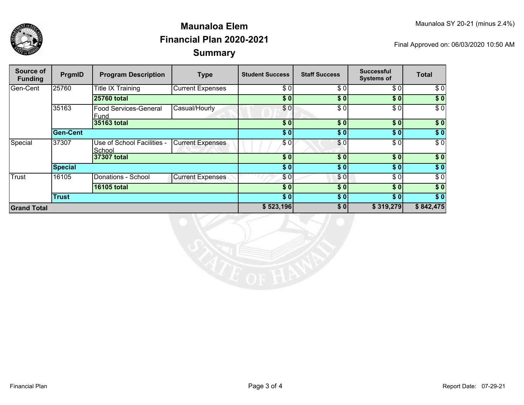

## **SummaryMaunaloa ElemFinancial Plan 2020-2021**

Final Approved on: 06/03/2020 10:50 AM

| Source of<br><b>Funding</b> | PrgmID         | <b>Program Description</b>           | <b>Type</b>             | <b>Student Success</b> | <b>Staff Success</b> | <b>Successful</b><br><b>Systems of</b> | Total            |
|-----------------------------|----------------|--------------------------------------|-------------------------|------------------------|----------------------|----------------------------------------|------------------|
| Gen-Cent                    | 25760          | Title IX Training                    | <b>Current Expenses</b> | \$0                    | \$0                  | \$0]                                   | \$0              |
|                             |                | <b>25760 total</b>                   |                         | \$0                    | \$0                  | \$0]                                   | \$0              |
|                             | 35163          | <b>Food Services-General</b><br>Fund | Casual/Hourly           | \$0]                   | \$0                  | \$0]                                   | $\overline{\$0}$ |
|                             |                | 35163 total                          |                         | \$0                    | \$0                  | \$0]                                   | \$0              |
|                             | Gen-Cent       |                                      |                         | \$0]                   | \$0                  | \$0]                                   | $\sqrt{ }$       |
| Special                     | 37307          | Use of School Facilities -<br>School | <b>Current Expenses</b> | \$0                    | \$0                  | \$0]                                   | \$0              |
|                             |                | 37307 total                          |                         | \$0                    | \$0                  | \$0]                                   | $\sqrt{6}$       |
|                             | <b>Special</b> |                                      |                         | \$0]                   | \$0                  | \$0]                                   | $\sqrt{6}$       |
| Trust                       | 16105          | Donations - School                   | <b>Current Expenses</b> | \$0                    | \$0                  | \$0                                    | \$0              |
|                             |                | <b>16105 total</b>                   |                         | \$0                    | \$0                  | \$0]                                   | \$0              |
|                             | <b>Trust</b>   |                                      |                         | \$0]                   | \$0                  | \$0]                                   | \$0              |
| <b>Grand Total</b>          |                |                                      | \$523,196               | \$0                    | \$319,279            | \$842,475                              |                  |